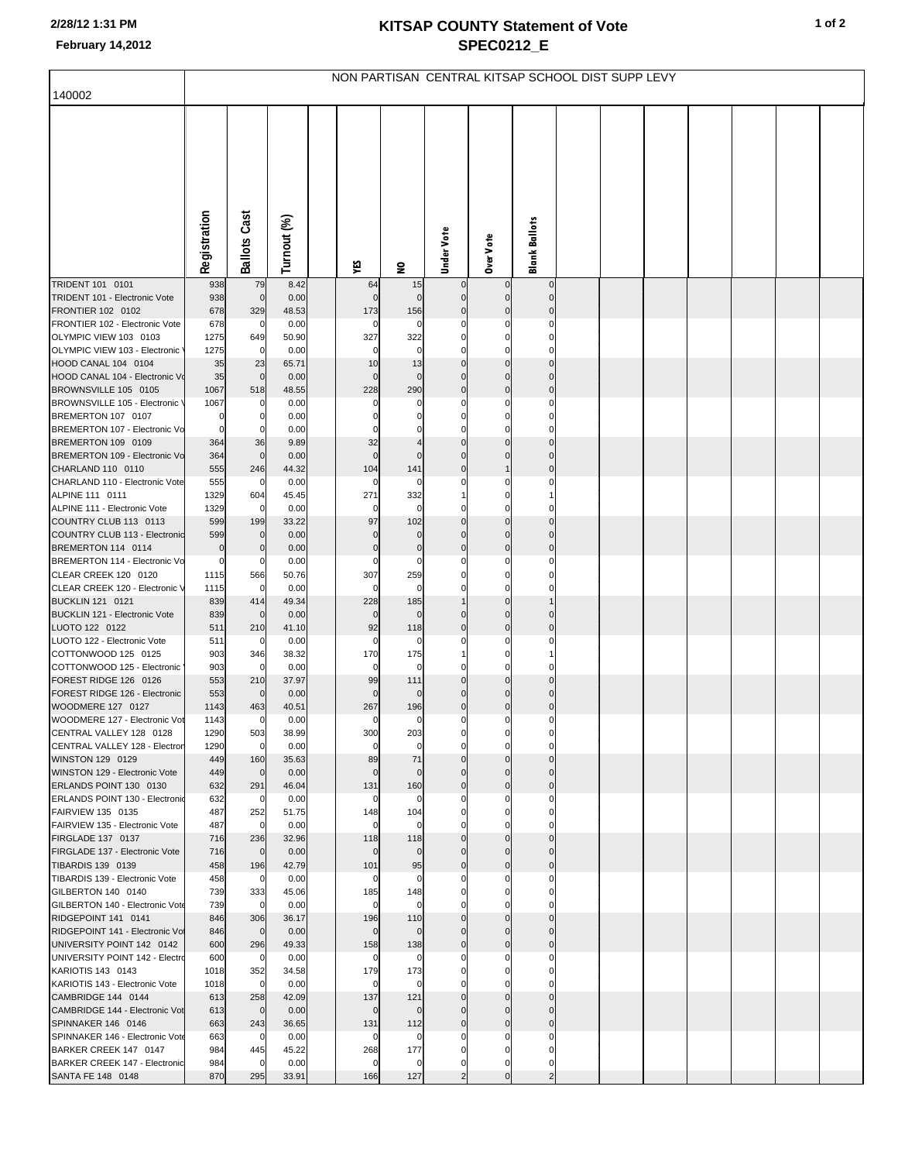## **KITSAP COUNTY Statement of Vote February 14,2012 SPEC0212\_E**

|                                                         | NON PARTISAN CENTRAL KITSAP SCHOOL DIST SUPP LEVY |                       |               |  |                     |              |                         |                            |                            |  |  |  |  |  |  |
|---------------------------------------------------------|---------------------------------------------------|-----------------------|---------------|--|---------------------|--------------|-------------------------|----------------------------|----------------------------|--|--|--|--|--|--|
| 140002                                                  |                                                   |                       |               |  |                     |              |                         |                            |                            |  |  |  |  |  |  |
|                                                         |                                                   |                       |               |  |                     |              |                         |                            |                            |  |  |  |  |  |  |
|                                                         | Registration                                      | <b>Ballots Cast</b>   | Turnout (%)   |  | ٧É                  | $\mathbf{S}$ | Under Vote              | Over Vote                  | Blank Ballots              |  |  |  |  |  |  |
| TRIDENT 101 0101                                        | 938                                               | 79                    | 8.42          |  | 64                  | 15           | $\overline{0}$          | $\mathbf 0$                | $\mathbf 0$                |  |  |  |  |  |  |
| TRIDENT 101 - Electronic Vote                           | 938                                               | $\mathbf 0$           | 0.00          |  | $\mathbf 0$         | $\Omega$     | $\mathbf 0$             | $\Omega$                   | $\Omega$                   |  |  |  |  |  |  |
| FRONTIER 102 0102<br>FRONTIER 102 - Electronic Vote     | 678<br>678                                        | 329<br>0              | 48.53<br>0.00 |  | 173<br>0            | 156<br>0     | $\mathbf 0$             | $\Omega$                   | 0<br>0                     |  |  |  |  |  |  |
| OLYMPIC VIEW 103 0103                                   | 1275                                              | 649                   | 50.90         |  | 327                 | 322          | 0                       | 0                          | 0                          |  |  |  |  |  |  |
| OLYMPIC VIEW 103 - Electronic                           | 1275                                              | $\mathbf 0$           | 0.00          |  | 0                   | $\Omega$     |                         |                            | C                          |  |  |  |  |  |  |
| HOOD CANAL 104 0104                                     | 35                                                | 23                    | 65.71         |  | 10                  | 13           | $\mathbf 0$             | 0                          | 0                          |  |  |  |  |  |  |
| HOOD CANAL 104 - Electronic Vo                          | 35                                                | $\mathbf 0$           | 0.00          |  | $\mathbf 0$         | 0            | $\Omega$                | $\Omega$                   | 0                          |  |  |  |  |  |  |
| BROWNSVILLE 105 0105                                    | 1067                                              | 518                   | 48.55         |  | 228                 | 290          | $\Omega$                | 0                          | 0                          |  |  |  |  |  |  |
| BROWNSVILLE 105 - Electronic \<br>BREMERTON 107 0107    | 1067<br>0                                         | 0<br>0                | 0.00<br>0.00  |  | 0<br>0              | 0            | 0                       | C<br>$\Omega$              | 0<br>0                     |  |  |  |  |  |  |
| BREMERTON 107 - Electronic Vo                           | 0                                                 | 0                     | 0.00          |  | $\Omega$            |              |                         | C                          | $\Omega$                   |  |  |  |  |  |  |
| BREMERTON 109 0109                                      | 364                                               | 36                    | 9.89          |  | 32                  |              | $\mathbf 0$             | $\Omega$                   | $\mathbf 0$                |  |  |  |  |  |  |
| BREMERTON 109 - Electronic Vo                           | 364                                               | $\mathbf 0$           | 0.00          |  | $\mathbf 0$         | $\Omega$     | $\Omega$                | C                          | $\Omega$                   |  |  |  |  |  |  |
| CHARLAND 110 0110                                       | 555                                               | 246                   | 44.32         |  | 104                 | 141          | $\mathbf 0$             | 1                          | 0                          |  |  |  |  |  |  |
| CHARLAND 110 - Electronic Vote<br>ALPINE 111 0111       | 555<br>1329                                       | $\mathbf 0$<br>604    | 0.00<br>45.45 |  | 0<br>271            | 0<br>332     |                         | C                          | 0                          |  |  |  |  |  |  |
| ALPINE 111 - Electronic Vote                            | 1329                                              | $\mathbf 0$           | 0.00          |  | 0                   | 0            |                         |                            |                            |  |  |  |  |  |  |
| COUNTRY CLUB 113 0113                                   | 599                                               | 199                   | 33.22         |  | 97                  | 102          | $\mathbf 0$             | $\mathbf 0$                | 0                          |  |  |  |  |  |  |
| COUNTRY CLUB 113 - Electronic                           | 599                                               | $\mathbf 0$           | 0.00          |  | $\mathbf 0$         | 0            | $\Omega$                | $\Omega$                   | 0                          |  |  |  |  |  |  |
| BREMERTON 114 0114                                      | 0                                                 | $\boldsymbol{0}$      | 0.00          |  | $\pmb{0}$           | $\bf{0}$     | $\Omega$                | $\mathbf 0$                | 0                          |  |  |  |  |  |  |
| BREMERTON 114 - Electronic Vo<br>CLEAR CREEK 120 0120   | 0<br>1115                                         | 0<br>566              | 0.00<br>50.76 |  | 0<br>307            | 0<br>259     |                         | C<br>$\Omega$              | $\Omega$<br>0              |  |  |  |  |  |  |
| CLEAR CREEK 120 - Electronic V                          | 1115                                              | $\mathbf 0$           | 0.00          |  | $\mathbf 0$         | 0            |                         | $\Omega$                   | 0                          |  |  |  |  |  |  |
| <b>BUCKLIN 121 0121</b>                                 | 839                                               | 414                   | 49.34         |  | 228                 | 185          |                         | $\Omega$                   |                            |  |  |  |  |  |  |
| BUCKLIN 121 - Electronic Vote                           | 839                                               | $\mathbf 0$           | 0.00          |  | $\mathbf 0$         | 0            |                         | $\Omega$                   | $\Omega$                   |  |  |  |  |  |  |
| LUOTO 122 0122<br>LUOTO 122 - Electronic Vote           | 511<br>511                                        | 210<br>0              | 41.10<br>0.00 |  | 92<br>0             | 118<br>0     | $\Omega$                | $\mathbf 0$                | 0                          |  |  |  |  |  |  |
| COTTONWOOD 125 0125                                     | 903                                               | 346                   | 38.32         |  | 170                 | 175          |                         | C                          |                            |  |  |  |  |  |  |
| COTTONWOOD 125 - Electronic                             | 903                                               | 0                     | 0.00          |  | 0                   | 0            |                         |                            |                            |  |  |  |  |  |  |
| FOREST RIDGE 126 0126                                   | 553                                               | 210                   | 37.97         |  | 99                  | 111          | $\Omega$                | $\Omega$                   | 0                          |  |  |  |  |  |  |
| FOREST RIDGE 126 - Electronic                           | 553                                               | $\mathbf 0$           | 0.00          |  | $\Omega$            | $\Omega$     |                         | C                          | $\Omega$                   |  |  |  |  |  |  |
| WOODMERE 127 0127<br>WOODMERE 127 - Electronic Vot      | 1143<br>1143                                      | 463<br>$\mathbf 0$    | 40.51<br>0.00 |  | 267<br>$\mathbf{0}$ | 196<br>0     | $\mathbf 0$<br>$\Omega$ | $\mathbf 0$<br>$\Omega$    | $\mathbf 0$<br>$\Omega$    |  |  |  |  |  |  |
| CENTRAL VALLEY 128 0128                                 | 1290                                              | 503                   | 38.99         |  | 300                 | 203          |                         |                            |                            |  |  |  |  |  |  |
| CENTRAL VALLEY 128 - Electror                           | 1290                                              | $\mathbf 0$           | 0.00          |  | 0                   | 0            | $\Omega$                | $\Omega$                   | 0                          |  |  |  |  |  |  |
| WINSTON 129 0129                                        | 449                                               | 160                   | 35.63         |  | 89                  | 71           | $\mathbf 0$             | $\mathbf 0$                | $\mathbf 0$                |  |  |  |  |  |  |
| WINSTON 129 - Electronic Vote<br>ERLANDS POINT 130 0130 | 449<br>632                                        | $\overline{0}$<br>291 | 0.00<br>46.04 |  | $\mathbf 0$<br>131  | 0<br>160     | $\Omega$<br>$\Omega$    | $\mathbf 0$<br>$\mathbf 0$ | $\mathbf 0$<br>$\mathbf 0$ |  |  |  |  |  |  |
| ERLANDS POINT 130 - Electronio                          | 632                                               | $\overline{0}$        | 0.00          |  | 0                   | 0            | 0                       | 0                          | 0                          |  |  |  |  |  |  |
| FAIRVIEW 135 0135                                       | 487                                               | 252                   | 51.75         |  | 148                 | 104          | $\Omega$                | $\mathbf 0$                | 0                          |  |  |  |  |  |  |
| FAIRVIEW 135 - Electronic Vote                          | 487                                               | $\mathbf 0$           | 0.00          |  | $\mathbf 0$         | 0            |                         | C                          | $\Omega$                   |  |  |  |  |  |  |
| FIRGLADE 137 0137<br>FIRGLADE 137 - Electronic Vote     | 716                                               | 236<br>$\overline{0}$ | 32.96<br>0.00 |  | 118<br>$\mathbf 0$  | 118          | $\mathbf 0$<br>$\Omega$ | $\mathbf 0$<br>$\Omega$    | $\mathbf 0$<br>0           |  |  |  |  |  |  |
| TIBARDIS 139 0139                                       | 716<br>458                                        | 196                   | 42.79         |  | 101                 | 0<br>95      | $\mathbf 0$             | $\mathbf 0$                | $\mathbf 0$                |  |  |  |  |  |  |
| TIBARDIS 139 - Electronic Vote                          | 458                                               | $\overline{0}$        | 0.00          |  | 0                   | 0            |                         | C                          | $\Omega$                   |  |  |  |  |  |  |
| GILBERTON 140 0140                                      | 739                                               | 333                   | 45.06         |  | 185                 | 148          |                         | 0                          | 0                          |  |  |  |  |  |  |
| GILBERTON 140 - Electronic Vote                         | 739                                               | $\overline{0}$        | 0.00          |  | $\mathbf 0$         | 0            |                         | C                          | 0                          |  |  |  |  |  |  |
| RIDGEPOINT 141 0141<br>RIDGEPOINT 141 - Electronic Vo   | 846<br>846                                        | 306<br>$\overline{0}$ | 36.17<br>0.00 |  | 196<br>$\mathbf 0$  | 110          | $\mathbf 0$<br>$\Omega$ | $\mathbf 0$<br>$\Omega$    | $\mathbf 0$<br>$\mathbf 0$ |  |  |  |  |  |  |
| UNIVERSITY POINT 142 0142                               | 600                                               | 296                   | 49.33         |  | 158                 | 0<br>138     | $\Omega$                | $\mathbf 0$                | $\mathbf 0$                |  |  |  |  |  |  |
| UNIVERSITY POINT 142 - Electro                          | 600                                               | $\overline{0}$        | 0.00          |  | 0                   | 0            | 0                       | $\Omega$                   | 0                          |  |  |  |  |  |  |
| KARIOTIS 143 0143                                       | 1018                                              | 352                   | 34.58         |  | 179                 | 173          | $\Omega$                | $\mathbf 0$                | 0                          |  |  |  |  |  |  |
| KARIOTIS 143 - Electronic Vote                          | 1018                                              | $\overline{0}$        | 0.00          |  | 0                   | 0            | 0                       | $\Omega$                   | $\Omega$                   |  |  |  |  |  |  |
| CAMBRIDGE 144 0144<br>CAMBRIDGE 144 - Electronic Vot    | 613<br>613                                        | 258<br>$\overline{0}$ | 42.09<br>0.00 |  | 137<br>$\mathbf 0$  | 121<br>0     | $\mathbf 0$<br>$\Omega$ | $\Omega$<br>$\Omega$       | $\mathbf 0$<br>$\mathbf 0$ |  |  |  |  |  |  |
| SPINNAKER 146 0146                                      | 663                                               | 243                   | 36.65         |  | 131                 | 112          | $\mathbf 0$             | $\mathbf 0$                | $\mathbf 0$                |  |  |  |  |  |  |
| SPINNAKER 146 - Electronic Vote                         | 663                                               | $\overline{0}$        | 0.00          |  | 0                   | 0            |                         | C                          | $\Omega$                   |  |  |  |  |  |  |
| BARKER CREEK 147 0147                                   | 984                                               | 445                   | 45.22         |  | 268                 | 177          | 0                       | 0                          | 0                          |  |  |  |  |  |  |
| BARKER CREEK 147 - Electronic                           | 984                                               | $\mathbf 0$           | 0.00          |  | 0                   | 0            | 0<br>$\overline{2}$     | $\mathbf 0$<br>$\mathbf 0$ | 0                          |  |  |  |  |  |  |
| SANTA FE 148 0148                                       | 870                                               | 295                   | 33.91         |  | 166                 | 127          |                         |                            | $\overline{2}$             |  |  |  |  |  |  |